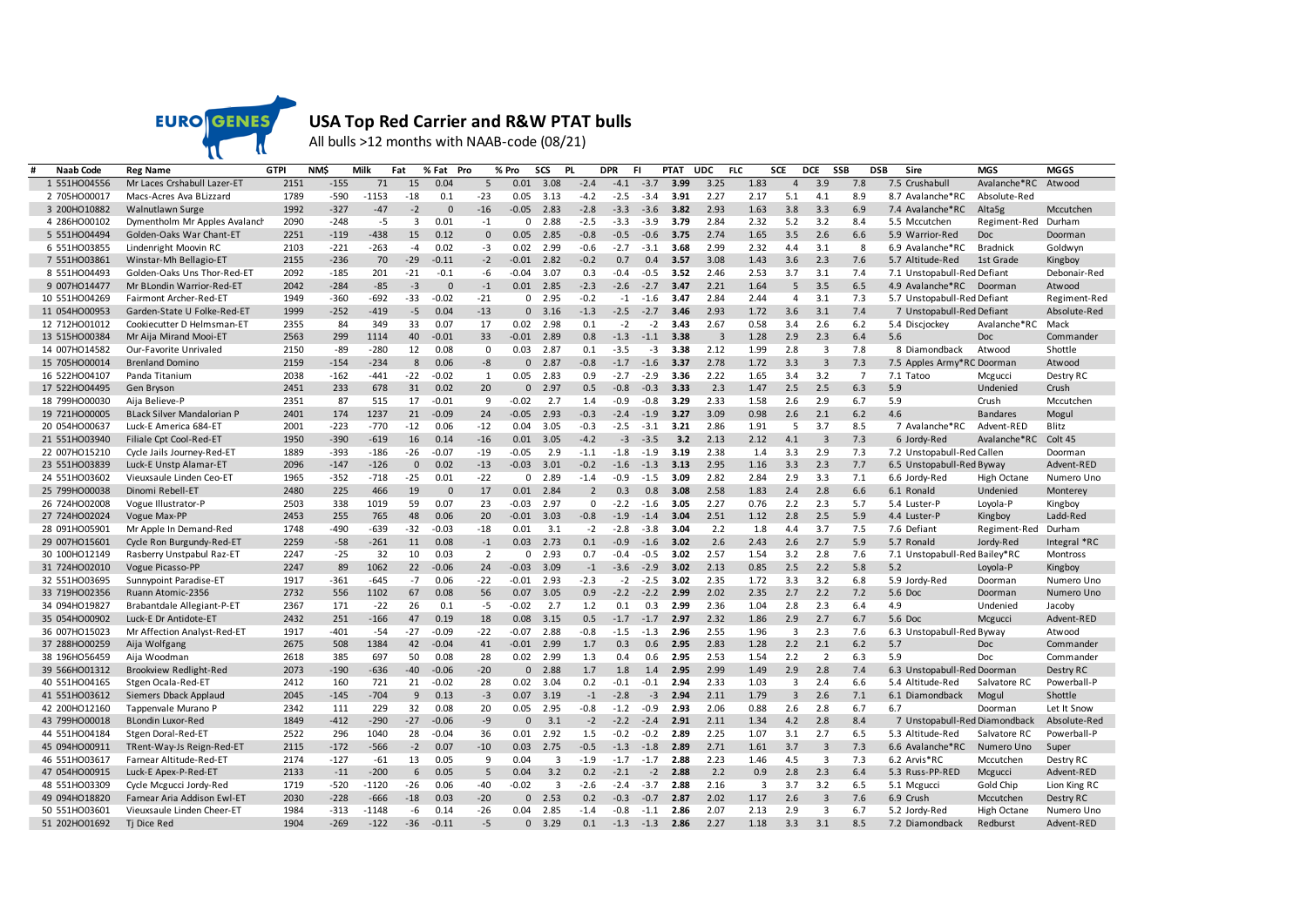

## **USA Top Red Carrier and R&W PTAT bulls**

All bulls >12 months with NAAB-code (08/21)

| <b>Naab Code</b> | Reg Name                          | <b>GTPI</b> | <b>NM\$</b> | Milk    | Fat         | % Fat       | Pro            | % Pro    | SCS            | <b>PL</b>      | DPR    | FI.    | <b>PTAT</b> | <b>UDC</b>     | <b>FLC</b>     | <b>SCE</b>     | <b>DCE</b>     | SSB            | DSB<br>Sire                   | <b>MGS</b>         | <b>MGGS</b>     |
|------------------|-----------------------------------|-------------|-------------|---------|-------------|-------------|----------------|----------|----------------|----------------|--------|--------|-------------|----------------|----------------|----------------|----------------|----------------|-------------------------------|--------------------|-----------------|
| 1 551HO04556     | Mr Laces Crshabull Lazer-ET       | 2151        | $-155$      | 71      | 15          | 0.04        | 5              | 0.01     | 3.08           | $-2.4$         | $-4.1$ | $-3.7$ | 3.99        | 3.25           | 1.83           | $\overline{a}$ | 3.9            | 7.8            | 7.5 Crushabull                | Avalanche*RC       | Atwood          |
| 2 705HO00017     | Macs-Acres Ava BLizzard           | 1789        | $-590$      | $-1153$ | $-18$       | 0.1         | $-23$          | 0.05     | 3.13           | $-4.2$         | $-2.5$ | $-3.4$ | 3.91        | 2.27           | 2.17           | 5.1            | 4.1            | 8.9            | 8.7 Avalanche*RC              | Absolute-Red       |                 |
| 3 200HO10882     | <b>Walnutlawn Surge</b>           | 1992        | $-327$      | $-47$   | $-2$        | $\Omega$    | $-16$          | $-0.05$  | 2.83           | $-2.8$         | $-3.3$ | $-3.6$ | 3.82        | 2.93           | 1.63           | 3.8            | 3.3            | 6.9            | 7.4 Avalanche*RC              | Alta <sub>5g</sub> | Mccutchen       |
| 4 286HO00102     | Dymentholm Mr Apples Avalanch     | 2090        | $-248$      | $-5$    | 3           | 0.01        | $-1$           | $\Omega$ | 2.88           | $-2.5$         | $-3.3$ | $-3.9$ | 3.79        | 2.84           | 2.32           | 5.2            | 3.2            | 8.4            | 5.5 Mccutchen                 | Regiment-Red       | Durham          |
| 5 551HO04494     | Golden-Oaks War Chant-ET          | 2251        | $-119$      | $-438$  | 15          | 0.12        | $\Omega$       | 0.05     | 2.85           | $-0.8$         | $-0.5$ | $-0.6$ | 3.75        | 2.74           | 1.65           | 3.5            | 2.6            | 6.6            | 5.9 Warrior-Red               | <b>Doc</b>         | Doorman         |
| 6 551HO03855     | Lindenright Moovin RC             | 2103        | $-221$      | $-263$  | $-4$        | 0.02        | $-3$           | 0.02     | 2.99           | $-0.6$         | $-2.7$ | $-3.1$ | 3.68        | 2.99           | 2.32           | 4.4            | 3.1            | 8              | 6.9 Avalanche*RC              | <b>Bradnick</b>    | Goldwyn         |
| 7 551HO03861     | Winstar-Mh Bellagio-ET            | 2155        | $-236$      | 70      | $-29$       | $-0.11$     | $-2$           | $-0.01$  | 2.82           | $-0.2$         | 0.7    | 0.4    | 3.57        | 3.08           | 1.43           | 3.6            | 2.3            | 7.6            | 5.7 Altitude-Red              | 1st Grade          | Kingboy         |
| 8 551HO04493     | Golden-Oaks Uns Thor-Red-ET       | 2092        | $-185$      | 201     | $-21$       | $-0.1$      | -6             | $-0.04$  | 3.07           | 0.3            | $-0.4$ | $-0.5$ | 3.52        | 2.46           | 2.53           | 3.7            | 3.1            | 7.4            | 7.1 Unstopabull-Red Defiant   |                    | Debonair-Red    |
| 9 007HO14477     | Mr BLondin Warrior-Red-ET         | 2042        | $-284$      | $-85$   | $-3$        | $\Omega$    | $-1$           | 0.01     | 2.85           | $-2.3$         | $-2.6$ | $-2.7$ | 3.47        | 2.21           | 1.64           | 5              | 3.5            | 6.5            | 4.9 Avalanche*RC Doorman      |                    | Atwood          |
| 10 551HO04269    | Fairmont Archer-Red-ET            | 1949        | $-360$      | $-692$  | $-33$       | $-0.02$     | $-21$          | 0        | 2.95           | $-0.2$         | $-1$   | $-1.6$ | 3.47        | 2.84           | 2.44           | $\overline{4}$ | 3.1            | 7.3            | 5.7 Unstopabull-Red Defiant   |                    | Regiment-Red    |
| 11 054HO00953    | Garden-State U Folke-Red-ET       | 1999        | $-252$      | $-419$  | $-5$        | 0.04        | $-13$          | $\Omega$ | 3.16           | $-1.3$         | $-2.5$ | $-2.7$ | 3.46        | 2.93           | 1.72           | 3.6            | 3.1            | 7.4            | 7 Unstopabull-Red Defiant     |                    | Absolute-Red    |
| 12 712HO01012    | Cookiecutter D Helmsman-ET        | 2355        | 84          | 349     | 33          | 0.07        | 17             | 0.02     | 2.98           | 0.1            | $-2$   | $-2$   | 3.43        | 2.67           | 0.58           | 3.4            | 2.6            | 6.2            | 5.4 Discjockey                | Avalanche*RC       | Mack            |
| 13 515HO00384    | Mr Aija Mirand Mooi-ET            | 2563        | 299         | 1114    | 40          | $-0.01$     | 33             | $-0.01$  | 2.89           | 0.8            | $-1.3$ | $-1.1$ | 3.38        | $\overline{3}$ | 1.28           | 2.9            | 2.3            | 6.4            | 5.6                           | Doc                | Commander       |
| 14 007HO14582    | Our-Favorite Unrivaled            | 2150        | -89         | $-280$  | 12          | 0.08        | $\mathbf 0$    | 0.03     | 2.87           | 0.1            | $-3.5$ | $-3$   | 3.38        | 2.12           | 1.99           | 2.8            | 3              | 7.8            | 8 Diamondback                 | Atwood             | Shottle         |
| 15 705HO00014    | <b>Brenland Domino</b>            | 2159        | $-154$      | $-234$  | 8           | 0.06        | $-8$           |          | 2.87           | $-0.8$         | $-1.7$ | $-1.6$ | 3.37        | 2.78           | 1.72           | 3.3            | $\overline{3}$ | 7.3            | 7.5 Apples Army*RC Doorman    |                    | Atwood          |
| 16 522HO04107    | Panda Titanium                    | 2038        | $-162$      | $-441$  | $-22$       | $-0.02$     | 1              | 0.05     | 2.83           | 0.9            | $-2.7$ | $-2.9$ | 3.36        | 2.22           | 1.65           | 3.4            | 3.2            | $\overline{7}$ | 7.1 Tatoo                     | Mcgucci            | Destry RC       |
| 17 522HO04495    | Gen Bryson                        | 2451        | 233         | 678     | 31          | 0.02        | 20             | $\Omega$ | 2.97           | 0.5            | $-0.8$ | $-0.3$ | 3.33        | 2.3            | 1.47           | 2.5            | 2.5            | 6.3            | 5.9                           | Undenied           | Crush           |
| 18 799HO00030    | Aija Believe-P                    | 2351        | 87          | 515     | 17          | $-0.01$     | 9              | $-0.02$  | 2.7            | 1.4            | $-0.9$ | $-0.8$ | 3.29        | 2.33           | 1.58           | 2.6            | 2.9            | 6.7            | 5.9                           | Crush              | Mccutchen       |
| 19 721HO00005    | <b>BLack Silver Mandalorian P</b> | 2401        | 174         | 1237    | 21          | $-0.09$     | 24             | $-0.05$  | 2.93           | $-0.3$         | $-2.4$ | $-1.9$ | 3.27        | 3.09           | 0.98           | 2.6            | 2.1            | 6.2            | 4.6                           | <b>Bandares</b>    | Mogul           |
| 20 054HO00637    | Luck-E America 684-ET             | 2001        | $-223$      | $-770$  | $-12$       | 0.06        | $-12$          | 0.04     | 3.05           | $-0.3$         | $-2.5$ | $-3.1$ | 3.21        | 2.86           | 1.91           | 5              | 3.7            | 8.5            | 7 Avalanche*RC                | Advent-RED         | <b>Blitz</b>    |
| 21 551HO03940    | Filiale Cpt Cool-Red-ET           | 1950        | $-390$      | $-619$  | 16          | 0.14        | $-16$          | 0.01     | 3.05           | $-4.2$         | $-3$   | $-3.5$ | 3.2         | 2.13           | 2.12           | 4.1            | $\overline{3}$ | 7.3            | 6 Jordy-Red                   | Avalanche*RC       | Colt 45         |
| 22 007HO15210    | Cycle Jails Journey-Red-ET        | 1889        | $-393$      | $-186$  | $-26$       | $-0.07$     | -19            | $-0.05$  | 2.9            | $-1.1$         | $-1.8$ | $-1.9$ | 3.19        | 2.38           | 1.4            | 3.3            | 2.9            | 7.3            | 7.2 Unstopabull-Red Callen    |                    | Doorman         |
| 23 551HO03839    | Luck-E Unstp Alamar-ET            | 2096        | $-147$      | $-126$  | $\mathbf 0$ | 0.02        | $-13$          | $-0.03$  | 3.01           | $-0.2$         | $-1.6$ | $-1.3$ | 3.13        | 2.95           | 1.16           | 3.3            | 2.3            | 7.7            | 6.5 Unstopabull-Red Byway     |                    | Advent-RED      |
| 24 551HO03602    | Vieuxsaule Linden Ceo-ET          | 1965        | $-352$      | $-718$  | $-25$       | 0.01        | $-22$          | $\Omega$ | 2.89           | $-1.4$         | $-0.9$ | $-1.5$ | 3.09        | 2.82           | 2.84           | 2.9            | 3.3            | 7.1            | 6.6 Jordy-Red                 | High Octane        | Numero Uno      |
| 25 799HO00038    | Dinomi Rebell-ET                  | 2480        | 225         | 466     | 19          | $\mathbf 0$ | 17             | 0.01     | 2.84           | $\overline{2}$ | 0.3    | 0.8    | 3.08        | 2.58           | 1.83           | 2.4            | 2.8            | 6.6            | 6.1 Ronald                    | Undenied           | Monterey        |
| 26 724HO02008    | Vogue Illustrator-P               | 2503        | 338         | 1019    | 59          | 0.07        | 23             | $-0.03$  | 2.97           | $\Omega$       | $-2.2$ | $-1.6$ | 3.05        | 2.27           | 0.76           | 2.2            | 2.3            | 5.7            | 5.4 Luster-P                  | Loyola-P           | Kingboy         |
| 27 724HO02024    | Vogue Max-PP                      | 2453        | 255         | 765     | 48          | 0.06        | 20             | $-0.01$  | 3.03           | $-0.8$         | $-1.9$ | $-1.4$ | 3.04        | 2.51           | 1.12           | 2.8            | 2.5            | 5.9            | 4.4 Luster-P                  | Kingboy            | Ladd-Red        |
| 28 091HO05901    | Mr Apple In Demand-Red            | 1748        | $-490$      | $-639$  | $-32$       | $-0.03$     | $-18$          | 0.01     | 3.1            | $-2$           | $-2.8$ | $-3.8$ | 3.04        | 2.2            | 1.8            | 4.4            | 3.7            | 7.5            | 7.6 Defiant                   | Regiment-Red       | Durham          |
| 29 007HO15601    | Cycle Ron Burgundy-Red-ET         | 2259        | $-58$       | $-261$  | 11          | 0.08        | $-1$           | 0.03     | 2.73           | 0.1            | $-0.9$ | $-1.6$ | 3.02        | 2.6            | 2.43           | 2.6            | 2.7            | 5.9            | 5.7 Ronald                    | Jordy-Red          | Integral *RC    |
| 30 100HO12149    | Rasberry Unstpabul Raz-ET         | 2247        | $-25$       | 32      | 10          | 0.03        | $\overline{2}$ | n        | 2.93           | 0.7            | $-0.4$ | $-0.5$ | 3.02        | 2.57           | 1.54           | 3.2            | 2.8            | 7.6            | 7.1 Unstopabull-Red Bailey*RC |                    | <b>Montross</b> |
| 31 724HO02010    | Vogue Picasso-PP                  | 2247        | 89          | 1062    | 22          | $-0.06$     | 24             | $-0.03$  | 3.09           | $-1$           | $-3.6$ | $-2.9$ | 3.02        | 2.13           | 0.85           | 2.5            | 2.2            | 5.8            | 5.2                           | Loyola-P           | Kingboy         |
| 32 551HO03695    | Sunnypoint Paradise-ET            | 1917        | $-361$      | $-645$  | $-7$        | 0.06        | $-22$          | $-0.01$  | 2.93           | $-2.3$         | $-2$   | $-2.5$ | 3.02        | 2.35           | 1.72           | 3.3            | 3.2            | 6.8            | 5.9 Jordy-Red                 | Doorman            | Numero Uno      |
| 33 719HO02356    | Ruann Atomic-2356                 | 2732        | 556         | 1102    | 67          | 0.08        | 56             | 0.07     | 3.05           | 0.9            | $-2.2$ | $-2.2$ | 2.99        | 2.02           | 2.35           | 2.7            | 2.2            | 7.2            | 5.6 Doc                       | Doorman            | Numero Uno      |
| 34 094HO19827    | Brabantdale Allegiant-P-ET        | 2367        | 171         | $-22$   | 26          | 0.1         | $-5$           | $-0.02$  | 2.7            | 1.2            | 0.1    | 0.3    | 2.99        | 2.36           | 1.04           | 2.8            | 2.3            | 6.4            | 4.9                           | Undenied           | Jacoby          |
| 35 054HO00902    | Luck-E Dr Antidote-ET             | 2432        | 251         | $-166$  | 47          | 0.19        | 18             | 0.08     | 3.15           | 0.5            | $-1.7$ | $-1.7$ | 2.97        | 2.32           | 1.86           | 2.9            | 2.7            | 6.7            | 5.6 Doc                       | Mcgucci            | Advent-RED      |
| 36 007HO15023    | Mr Affection Analyst-Red-ET       | 1917        | $-401$      | $-54$   | $-27$       | $-0.09$     | $-22$          | $-0.07$  | 2.88           | $-0.8$         | $-1.5$ | $-1.3$ | 2.96        | 2.55           | 1.96           | 3              | 2.3            | 7.6            | 6.3 Unstopabull-Red Byway     |                    | Atwood          |
| 37 288HO00259    | Aija Wolfgang                     | 2675        | 508         | 1384    | 42          | $-0.04$     | 41             | $-0.01$  | 2.99           | 1.7            | 0.3    | 0.6    | 2.95        | 2.83           | 1.28           | 2.2            | 2.1            | 6.2            | 5.7                           | <b>Doc</b>         | Commander       |
| 38 196HO56459    | Aija Woodman                      | 2618        | 385         | 697     | 50          | 0.08        | 28             | 0.02     | 2.99           | 1.3            | 0.4    | 0.6    | 2.95        | 2.53           | 1.54           | 2.2            | $\overline{2}$ | 6.3            | 5.9                           | Doc                | Commander       |
|                  |                                   |             | $-190$      |         | $-40$       | $-0.06$     | $-20$          |          | 2.88           | 1.7            | 1.8    | 1.4    | 2.95        | 2.99           | 1.49           | 2.9            | 2.8            | 7.4            |                               |                    |                 |
| 39 566HO01312    | <b>Brookview Redlight-Red</b>     | 2073        | 160         | $-636$  |             | $-0.02$     | 28             | 0.02     | 3.04           | 0.2            | $-0.1$ | $-0.1$ | 2.94        | 2.33           |                | 3              | 2.4            | 6.6            | 6.3 Unstopabull-Red Doorman   |                    | Destry RC       |
| 40 551HO04165    | Stgen Ocala-Red-ET                | 2412        |             | 721     | 21<br>9     |             |                |          |                |                |        |        |             | 2.11           | 1.03           |                |                |                | 5.4 Altitude-Red              | Salvatore RC       | Powerball-P     |
| 41 551HO03612    | Siemers Dback Applaud             | 2045        | $-145$      | $-704$  |             | 0.13        | $-3$           | 0.07     | 3.19           | $-1$           | $-2.8$ | $-3$   | 2.94        |                | 1.79           | 3              | 2.6            | 7.1            | 6.1 Diamondback               | Mogul              | Shottle         |
| 42 200HO12160    | Tappenvale Murano P               | 2342        | 111         | 229     | 32          | 0.08        | 20             | 0.05     | 2.95           | $-0.8$         | $-1.2$ | $-0.9$ | 2.93        | 2.06           | 0.88           | 2.6            | 2.8            | 6.7            | 6.7                           | Doorman            | Let It Snow     |
| 43 799HO00018    | <b>BLondin Luxor-Red</b>          | 1849        | $-412$      | $-290$  | $-27$       | $-0.06$     | $-9$           |          | 3.1            | $-2$           | $-2.2$ | $-2.4$ | 2.91        | 2.11           | 1.34           | 4.2            | 2.8            | 8.4            | 7 Unstopabull-Red Diamondback |                    | Absolute-Red    |
| 44 551HO04184    | Stgen Doral-Red-ET                | 2522        | 296         | 1040    | 28          | $-0.04$     | 36             | 0.01     | 2.92           | 1.5            | $-0.2$ | $-0.2$ | 2.89        | 2.25           | 1.07           | 3.1            | 2.7            | 6.5            | 5.3 Altitude-Red              | Salvatore RC       | Powerball-P     |
| 45 094HO00911    | TRent-Way-Js Reign-Red-ET         | 2115        | $-172$      | $-566$  | $-2$        | 0.07        | $-10$          | 0.03     | 2.75           | $-0.5$         | $-1.3$ | $-1.8$ | 2.89        | 2.71           | 1.61           | 3.7            | $\overline{3}$ | 7.3            | 6.6 Avalanche*RC              | Numero Uno         | Super           |
| 46 551HO03617    | Farnear Altitude-Red-ET           | 2174        | $-127$      | $-61$   | 13          | 0.05        | 9              | 0.04     | 3              | $-1.9$         | $-1.7$ | $-1.7$ | 2.88        | 2.23           | 1.46           | 4.5            | $\overline{3}$ | 7.3            | 6.2 Arvis*RC                  | Mccutchen          | Destry RC       |
| 47 054HO00915    | Luck-E Apex-P-Red-ET              | 2133        | $-11$       | $-200$  | 6           | 0.05        | 5              | 0.04     | 3.2            | 0.2            | $-2.1$ | $-2$   | 2.88        | 2.2            | 0.9            | 2.8            | 2.3            | 6.4            | 5.3 Russ-PP-RED               | Mcgucci            | Advent-RED      |
| 48 551HO03309    | Cycle Mcgucci Jordy-Red           | 1719        | $-520$      | $-1120$ | $-26$       | 0.06        | $-40$          | $-0.02$  | $\overline{3}$ | $-2.6$         | $-2.4$ | $-3.7$ | 2.88        | 2.16           | $\overline{3}$ | 3.7            | 3.2            | 6.5            | 5.1 Mcgucci                   | Gold Chip          | Lion King RC    |
| 49 094HO18820    | Farnear Aria Addison Ewl-ET       | 2030        | $-228$      | $-666$  | $-18$       | 0.03        | $-20$          | $\Omega$ | 2.53           | 0.2            | $-0.3$ | $-0.7$ | 2.87        | 2.02           | 1.17           | 2.6            | $\overline{3}$ | 7.6            | 6.9 Crush                     | Mccutchen          | Destry RC       |
| 50 551HO03601    | Vieuxsaule Linden Cheer-ET        | 1984        | $-313$      | $-1148$ | $-6$        | 0.14        | $-26$          | 0.04     | 2.85           | $-1.4$         | $-0.8$ | $-1.1$ | 2.86        | 2.07           | 2.13           | 2.9            | 3              | 6.7            | 5.2 Jordy-Red                 | High Octane        | Numero Uno      |
| 51 202HO01692    | Tj Dice Red                       | 1904        | $-269$      | $-122$  | $-36$       | $-0.11$     | $-5$           | $\Omega$ | 3.29           | 0.1            | $-1.3$ | $-1.3$ | 2.86        | 2.27           | 1.18           | 3.3            | 3.1            | 8.5            | 7.2 Diamondback               | Redburst           | Advent-RED      |